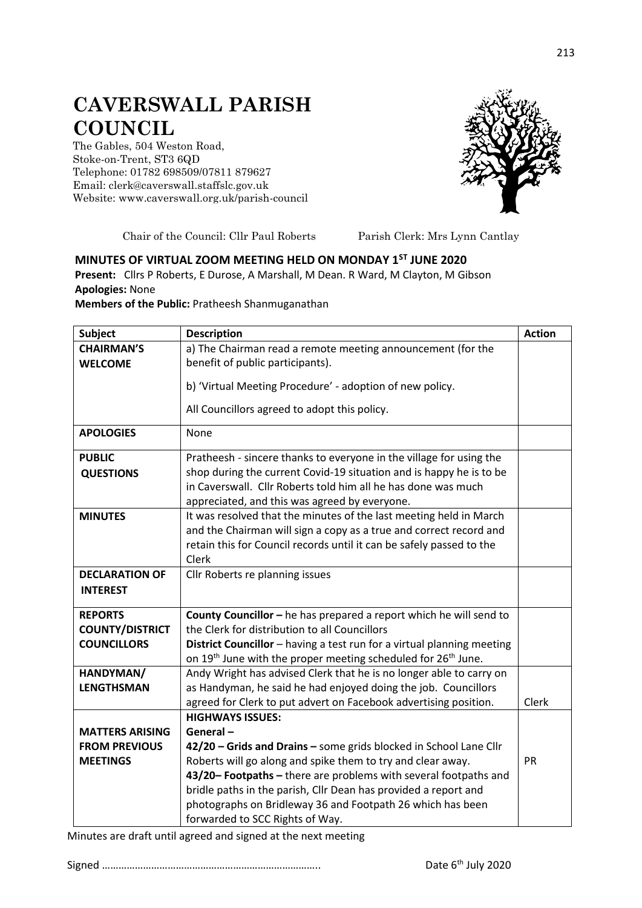## **CAVERSWALL PARISH COUNCIL**

The Gables, 504 Weston Road, Stoke-on-Trent, ST3 6QD Telephone: 01782 698509/07811 879627 Email: clerk@caverswall.staffslc.gov.uk Website: [www.c](http://www.dilhorneparishcouncil.co.uk/)averswall.org.uk/parish-council



Chair of the Council: Cllr Paul Roberts Parish Clerk: Mrs Lynn Cantlay

## **MINUTES OF VIRTUAL ZOOM MEETING HELD ON MONDAY 1ST JUNE 2020**

**Present:** Cllrs P Roberts, E Durose, A Marshall, M Dean. R Ward, M Clayton, M Gibson **Apologies:** None

**Members of the Public:** Pratheesh Shanmuganathan

| <b>Subject</b>         | <b>Description</b>                                                                    | <b>Action</b> |
|------------------------|---------------------------------------------------------------------------------------|---------------|
| <b>CHAIRMAN'S</b>      | a) The Chairman read a remote meeting announcement (for the                           |               |
| <b>WELCOME</b>         | benefit of public participants).                                                      |               |
|                        | b) 'Virtual Meeting Procedure' - adoption of new policy.                              |               |
|                        | All Councillors agreed to adopt this policy.                                          |               |
| <b>APOLOGIES</b>       | None                                                                                  |               |
| <b>PUBLIC</b>          | Pratheesh - sincere thanks to everyone in the village for using the                   |               |
| <b>QUESTIONS</b>       | shop during the current Covid-19 situation and is happy he is to be                   |               |
|                        | in Caverswall. Cllr Roberts told him all he has done was much                         |               |
|                        | appreciated, and this was agreed by everyone.                                         |               |
| <b>MINUTES</b>         | It was resolved that the minutes of the last meeting held in March                    |               |
|                        | and the Chairman will sign a copy as a true and correct record and                    |               |
|                        | retain this for Council records until it can be safely passed to the                  |               |
|                        | Clerk                                                                                 |               |
| <b>DECLARATION OF</b>  | Cllr Roberts re planning issues                                                       |               |
| <b>INTEREST</b>        |                                                                                       |               |
| <b>REPORTS</b>         | County Councillor - he has prepared a report which he will send to                    |               |
| <b>COUNTY/DISTRICT</b> | the Clerk for distribution to all Councillors                                         |               |
| <b>COUNCILLORS</b>     | District Councillor - having a test run for a virtual planning meeting                |               |
|                        | on 19 <sup>th</sup> June with the proper meeting scheduled for 26 <sup>th</sup> June. |               |
| HANDYMAN/              | Andy Wright has advised Clerk that he is no longer able to carry on                   |               |
| <b>LENGTHSMAN</b>      | as Handyman, he said he had enjoyed doing the job. Councillors                        |               |
|                        | agreed for Clerk to put advert on Facebook advertising position.                      | Clerk         |
|                        | <b>HIGHWAYS ISSUES:</b>                                                               |               |
| <b>MATTERS ARISING</b> | General-                                                                              |               |
| <b>FROM PREVIOUS</b>   | 42/20 - Grids and Drains - some grids blocked in School Lane Cllr                     |               |
| <b>MEETINGS</b>        | Roberts will go along and spike them to try and clear away.                           | PR            |
|                        | 43/20-Footpaths - there are problems with several footpaths and                       |               |
|                        | bridle paths in the parish, Cllr Dean has provided a report and                       |               |
|                        | photographs on Bridleway 36 and Footpath 26 which has been                            |               |
|                        | forwarded to SCC Rights of Way.                                                       |               |

Minutes are draft until agreed and signed at the next meeting

Signed …………………………………………………………………….. Date 6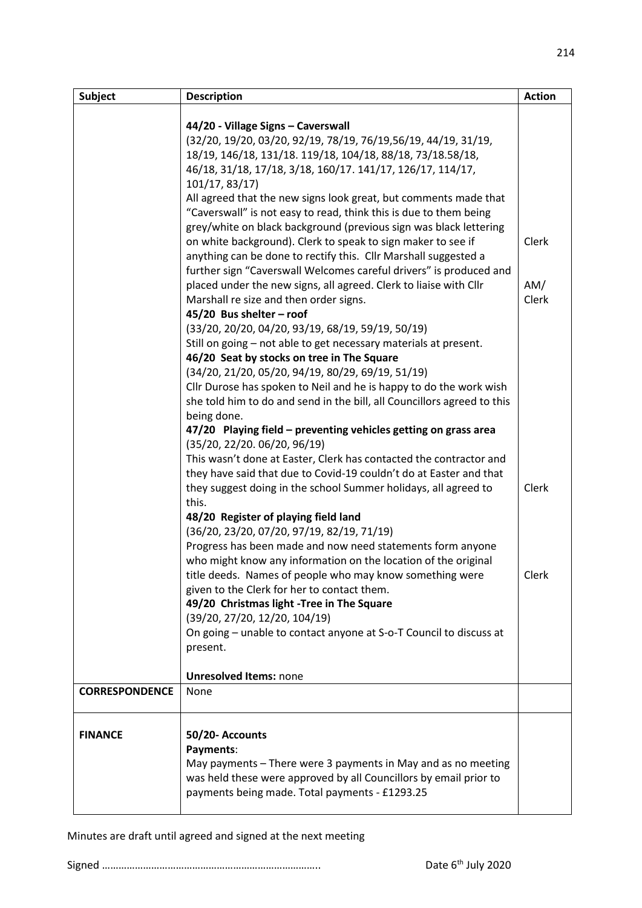| <b>Subject</b>        | <b>Description</b>                                                                              | <b>Action</b> |
|-----------------------|-------------------------------------------------------------------------------------------------|---------------|
|                       |                                                                                                 |               |
|                       | 44/20 - Village Signs - Caverswall                                                              |               |
|                       | (32/20, 19/20, 03/20, 92/19, 78/19, 76/19,56/19, 44/19, 31/19,                                  |               |
|                       | 18/19, 146/18, 131/18. 119/18, 104/18, 88/18, 73/18.58/18,                                      |               |
|                       | 46/18, 31/18, 17/18, 3/18, 160/17. 141/17, 126/17, 114/17,                                      |               |
|                       | 101/17, 83/17)                                                                                  |               |
|                       | All agreed that the new signs look great, but comments made that                                |               |
|                       | "Caverswall" is not easy to read, think this is due to them being                               |               |
|                       | grey/white on black background (previous sign was black lettering                               |               |
|                       | on white background). Clerk to speak to sign maker to see if                                    | Clerk         |
|                       | anything can be done to rectify this. Cllr Marshall suggested a                                 |               |
|                       | further sign "Caverswall Welcomes careful drivers" is produced and                              |               |
|                       | placed under the new signs, all agreed. Clerk to liaise with Cllr                               | AM/           |
|                       | Marshall re size and then order signs.                                                          | Clerk         |
|                       | 45/20 Bus shelter - roof                                                                        |               |
|                       | (33/20, 20/20, 04/20, 93/19, 68/19, 59/19, 50/19)                                               |               |
|                       | Still on going - not able to get necessary materials at present.                                |               |
|                       | 46/20 Seat by stocks on tree in The Square                                                      |               |
|                       | (34/20, 21/20, 05/20, 94/19, 80/29, 69/19, 51/19)                                               |               |
|                       | Cllr Durose has spoken to Neil and he is happy to do the work wish                              |               |
|                       | she told him to do and send in the bill, all Councillors agreed to this                         |               |
|                       | being done.                                                                                     |               |
|                       | 47/20 Playing field - preventing vehicles getting on grass area<br>(35/20, 22/20. 06/20, 96/19) |               |
|                       | This wasn't done at Easter, Clerk has contacted the contractor and                              |               |
|                       | they have said that due to Covid-19 couldn't do at Easter and that                              |               |
|                       | they suggest doing in the school Summer holidays, all agreed to                                 | Clerk         |
|                       | this.                                                                                           |               |
|                       | 48/20 Register of playing field land                                                            |               |
|                       | (36/20, 23/20, 07/20, 97/19, 82/19, 71/19)                                                      |               |
|                       | Progress has been made and now need statements form anyone                                      |               |
|                       | who might know any information on the location of the original                                  |               |
|                       | title deeds. Names of people who may know something were                                        | Clerk         |
|                       | given to the Clerk for her to contact them.                                                     |               |
|                       | 49/20 Christmas light -Tree in The Square                                                       |               |
|                       | (39/20, 27/20, 12/20, 104/19)                                                                   |               |
|                       | On going - unable to contact anyone at S-o-T Council to discuss at                              |               |
|                       | present.                                                                                        |               |
|                       | <b>Unresolved Items: none</b>                                                                   |               |
| <b>CORRESPONDENCE</b> | None                                                                                            |               |
|                       |                                                                                                 |               |
|                       |                                                                                                 |               |
| <b>FINANCE</b>        | 50/20- Accounts                                                                                 |               |
|                       | Payments:                                                                                       |               |
|                       | May payments – There were 3 payments in May and as no meeting                                   |               |
|                       | was held these were approved by all Councillors by email prior to                               |               |
|                       | payments being made. Total payments - £1293.25                                                  |               |
|                       |                                                                                                 |               |

Minutes are draft until agreed and signed at the next meeting

Signed …………………………………………………………………….. Date 6